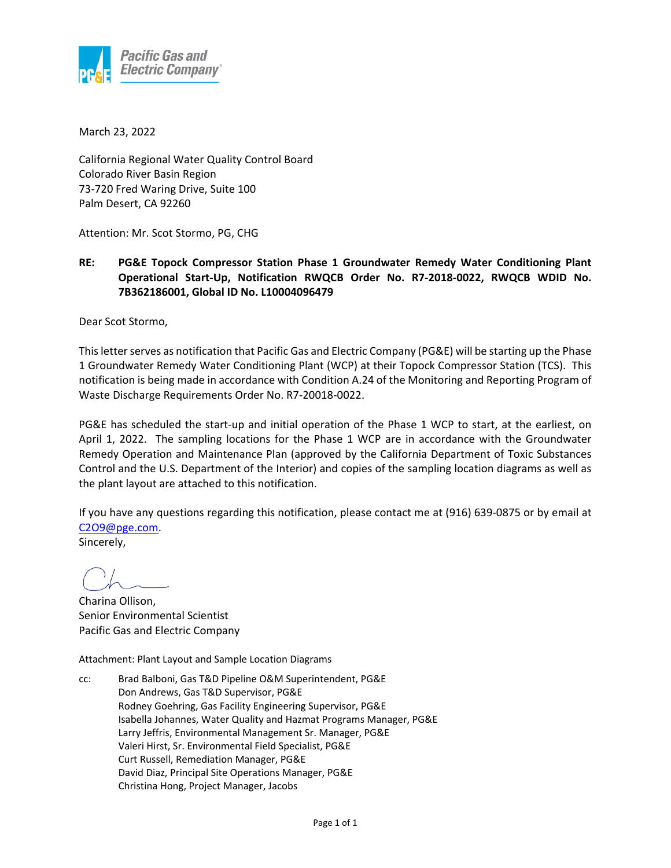

March 23, 2022

California Regional Water Quality Control Board Colorado River Basin Region 73‐720 Fred Waring Drive, Suite 100 Palm Desert, CA 92260

Attention: Mr. Scot Stormo, PG, CHG

**RE: PG&E Topock Compressor Station Phase 1 Groundwater Remedy Water Conditioning Plant Operational Start‐Up, Notification RWQCB Order No. R7‐2018‐0022, RWQCB WDID No. 7B362186001, Global ID No. L10004096479**

Dear Scot Stormo,

This letter serves as notification that Pacific Gas and Electric Company (PG&E) will be starting up the Phase 1 Groundwater Remedy Water Conditioning Plant (WCP) at their Topock Compressor Station (TCS). This notification is being made in accordance with Condition A.24 of the Monitoring and Reporting Program of Waste Discharge Requirements Order No. R7‐20018‐0022.

PG&E has scheduled the start‐up and initial operation of the Phase 1 WCP to start, at the earliest, on April 1, 2022. The sampling locations for the Phase 1 WCP are in accordance with the Groundwater Remedy Operation and Maintenance Plan (approved by the California Department of Toxic Substances Control and the U.S. Department of the Interior) and copies of the sampling location diagrams as well as the plant layout are attached to this notification.

If you have any questions regarding this notification, please contact me at (916) 639‐0875 or by email at C2O9@pge.com.

Sincerely,

Charina Ollison, Senior Environmental Scientist Pacific Gas and Electric Company

Attachment: Plant Layout and Sample Location Diagrams

cc: Brad Balboni, Gas T&D Pipeline O&M Superintendent, PG&E Don Andrews, Gas T&D Supervisor, PG&E Rodney Goehring, Gas Facility Engineering Supervisor, PG&E Isabella Johannes, Water Quality and Hazmat Programs Manager, PG&E Larry Jeffris, Environmental Management Sr. Manager, PG&E Valeri Hirst, Sr. Environmental Field Specialist, PG&E Curt Russell, Remediation Manager, PG&E David Diaz, Principal Site Operations Manager, PG&E Christina Hong, Project Manager, Jacobs